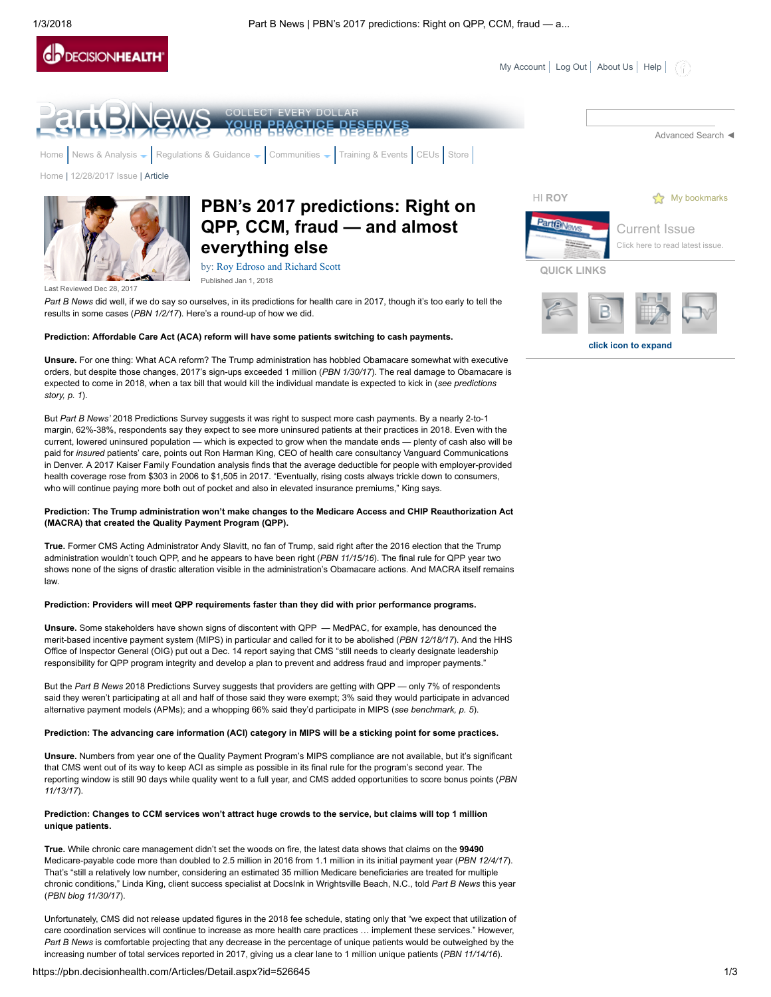



But Part B News' 2018 Predictions Survey suggests it was right to suspect more cash payments. By a nearly 2-to-1 margin, 62%-38%, respondents say they expect to see more uninsured patients at their practices in 2018. Even with the current, lowered uninsured population — which is expected to grow when the mandate ends — plenty of cash also will be paid for insured patients' care, points out Ron Harman King, CEO of health care consultancy Vanguard Communications in Denver. A 2017 Kaiser Family Foundation analysis finds that the average deductible for people with employer-provided health coverage rose from \$303 in 2006 to \$1,505 in 2017. "Eventually, rising costs always trickle down to consumers, who will continue paying more both out of pocket and also in elevated insurance premiums," King says.

## Prediction: The Trump administration won't make changes to the Medicare Access and CHIP Reauthorization Act (MACRA) that created the Quality Payment Program (QPP).

True. Former CMS Acting Administrator Andy Slavitt, no fan of Trump, said right after the 2016 election that the Trump administration wouldn't touch QPP, and he appears to have been right (PBN 11/15/16). The final rule for QPP year two shows none of the signs of drastic alteration visible in the administration's Obamacare actions. And MACRA itself remains law.

#### Prediction: Providers will meet QPP requirements faster than they did with prior performance programs.

Unsure. Some stakeholders have shown signs of discontent with QPP — MedPAC, for example, has denounced the merit-based incentive payment system (MIPS) in particular and called for it to be abolished (PBN 12/18/17). And the HHS Office of Inspector General (OIG) put out a Dec. 14 report saying that CMS "still needs to clearly designate leadership responsibility for QPP program integrity and develop a plan to prevent and address fraud and improper payments."

But the Part B News 2018 Predictions Survey suggests that providers are getting with QPP — only 7% of respondents said they weren't participating at all and half of those said they were exempt; 3% said they would participate in advanced alternative payment models (APMs); and a whopping 66% said they'd participate in MIPS (see benchmark, p. 5).

# Prediction: The advancing care information (ACI) category in MIPS will be a sticking point for some practices.

Unsure. Numbers from year one of the Quality Payment Program's MIPS compliance are not available, but it's significant that CMS went out of its way to keep ACI as simple as possible in its final rule for the program's second year. The reporting window is still 90 days while quality went to a full year, and CMS added opportunities to score bonus points (PBN 11/13/17).

#### Prediction: Changes to CCM services won't attract huge crowds to the service, but claims will top 1 million unique patients.

True. While chronic care management didn't set the woods on fire, the latest data shows that claims on the 99490 Medicare-payable code more than doubled to 2.5 million in 2016 from 1.1 million in its initial payment year (PBN 12/4/17). That's "still a relatively low number, considering an estimated 35 million Medicare beneficiaries are treated for multiple chronic conditions," Linda King, client success specialist at DocsInk in Wrightsville Beach, N.C., told Part B News this year (PBN blog 11/30/17).

Unfortunately, CMS did not release updated figures in the 2018 fee schedule, stating only that "we expect that utilization of care coordination services will continue to increase as more health care practices … implement these services." However, Part B News is comfortable projecting that any decrease in the percentage of unique patients would be outweighed by the increasing number of total services reported in 2017, giving us a clear lane to 1 million unique patients (PBN 11/14/16).

#### https://pbn.decisionhealth.com/Articles/Detail.aspx?id=526645 1/3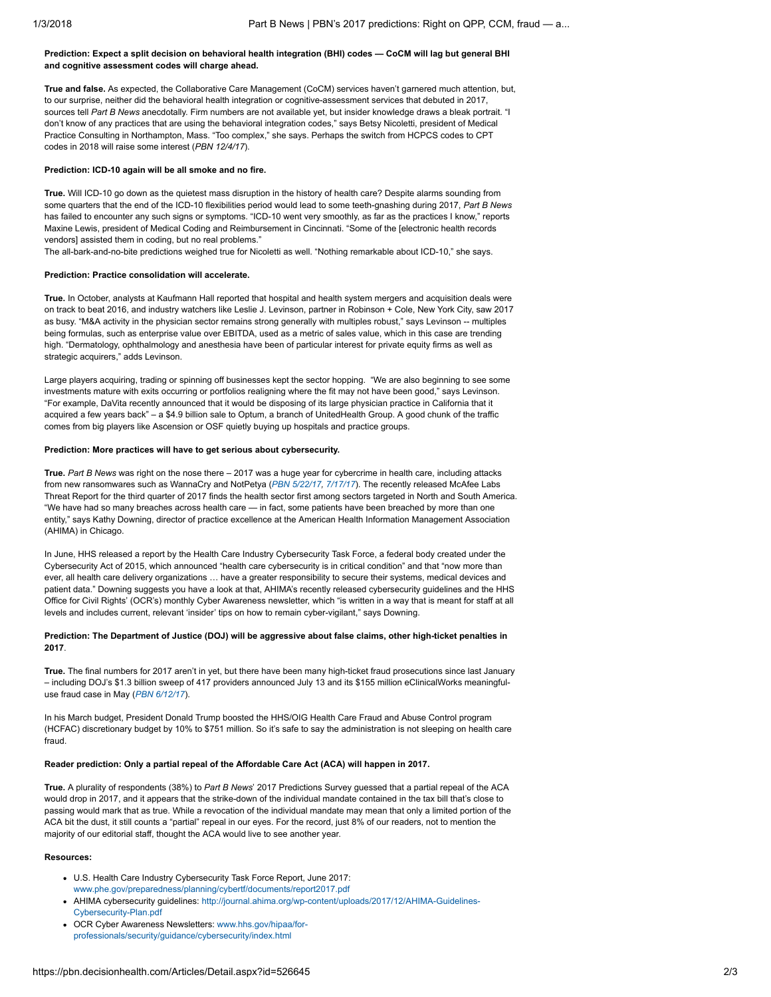## Prediction: Expect a split decision on behavioral health integration (BHI) codes — CoCM will lag but general BHI and cognitive assessment codes will charge ahead.

True and false. As expected, the Collaborative Care Management (CoCM) services haven't garnered much attention, but, to our surprise, neither did the behavioral health integration or cognitive-assessment services that debuted in 2017, sources tell Part B News anecdotally. Firm numbers are not available yet, but insider knowledge draws a bleak portrait. "I don't know of any practices that are using the behavioral integration codes," says Betsy Nicoletti, president of Medical Practice Consulting in Northampton, Mass. "Too complex," she says. Perhaps the switch from HCPCS codes to CPT codes in 2018 will raise some interest (PBN 12/4/17).

### Prediction: ICD-10 again will be all smoke and no fire.

True. Will ICD-10 go down as the quietest mass disruption in the history of health care? Despite alarms sounding from some quarters that the end of the ICD-10 flexibilities period would lead to some teeth-gnashing during 2017, Part B News has failed to encounter any such signs or symptoms. "ICD-10 went very smoothly, as far as the practices I know," reports Maxine Lewis, president of Medical Coding and Reimbursement in Cincinnati. "Some of the [electronic health records vendors] assisted them in coding, but no real problems."

The all-bark-and-no-bite predictions weighed true for Nicoletti as well. "Nothing remarkable about ICD-10," she says.

# Prediction: Practice consolidation will accelerate.

True. In October, analysts at Kaufmann Hall reported that hospital and health system mergers and acquisition deals were on track to beat 2016, and industry watchers like Leslie J. Levinson, partner in Robinson + Cole, New York City, saw 2017 as busy. "M&A activity in the physician sector remains strong generally with multiples robust," says Levinson -- multiples being formulas, such as enterprise value over EBITDA, used as a metric of sales value, which in this case are trending high. "Dermatology, ophthalmology and anesthesia have been of particular interest for private equity firms as well as strategic acquirers," adds Levinson.

Large players acquiring, trading or spinning off businesses kept the sector hopping. "We are also beginning to see some investments mature with exits occurring or portfolios realigning where the fit may not have been good," says Levinson. "For example, DaVita recently announced that it would be disposing of its large physician practice in California that it acquired a few years back" – a \$4.9 billion sale to Optum, a branch of UnitedHealth Group. A good chunk of the traffic comes from big players like Ascension or OSF quietly buying up hospitals and practice groups.

#### Prediction: More practices will have to get serious about cybersecurity.

True. Part B News was right on the nose there – 2017 was a huge year for cybercrime in health care, including attacks from new ransomwares such as WannaCry and NotPetya ([PBN 5/22/17](https://pbn.decisionhealth.com/Articles/Detail.aspx?id=524475), [7/17/17](https://pbn.decisionhealth.com/Articles/Detail.aspx?id=524767)). The recently released McAfee Labs Threat Report for the third quarter of 2017 finds the health sector first among sectors targeted in North and South America. "We have had so many breaches across health care — in fact, some patients have been breached by more than one entity," says Kathy Downing, director of practice excellence at the American Health Information Management Association (AHIMA) in Chicago.

In June, HHS released a report by the Health Care Industry Cybersecurity Task Force, a federal body created under the Cybersecurity Act of 2015, which announced "health care cybersecurity is in critical condition" and that "now more than ever, all health care delivery organizations … have a greater responsibility to secure their systems, medical devices and patient data." Downing suggests you have a look at that, AHIMA's recently released cybersecurity guidelines and the HHS Office for Civil Rights' (OCR's) monthly Cyber Awareness newsletter, which "is written in a way that is meant for staff at all levels and includes current, relevant 'insider' tips on how to remain cyber-vigilant," says Downing.

## Prediction: The Department of Justice (DOJ) will be aggressive about false claims, other high-ticket penalties in 2017.

True. The final numbers for 2017 aren't in yet, but there have been many high-ticket fraud prosecutions since last January – including DOJ's \$1.3 billion sweep of 417 providers announced July 13 and its \$155 million eClinicalWorks meaningful-use fraud case in May ([PBN 6/12/17](https://pbn.decisionhealth.com/Articles/Detail.aspx?id=524594)).

In his March budget, President Donald Trump boosted the HHS/OIG Health Care Fraud and Abuse Control program (HCFAC) discretionary budget by 10% to \$751 million. So it's safe to say the administration is not sleeping on health care fraud.

### Reader prediction: Only a partial repeal of the Affordable Care Act (ACA) will happen in 2017.

True. A plurality of respondents (38%) to Part B News' 2017 Predictions Survey guessed that a partial repeal of the ACA would drop in 2017, and it appears that the strike-down of the individual mandate contained in the tax bill that's close to passing would mark that as true. While a revocation of the individual mandate may mean that only a limited portion of the ACA bit the dust, it still counts a "partial" repeal in our eyes. For the record, just 8% of our readers, not to mention the majority of our editorial staff, thought the ACA would live to see another year.

# Resources:

- U.S. Health Care Industry Cybersecurity Task Force Report, June 2017: [www.phe.gov/preparedness/planning/cybertf/documents/report2017.pdf](http://www.phe.gov/preparedness/planning/cybertf/documents/report2017.pdf)
- [AHIMA cybersecurity guidelines: http://journal.ahima.org/wp-content/uploads/2017/12/AHIMA-Guidelines-](http://journal.ahima.org/wp-content/uploads/2017/12/AHIMA-Guidelines-Cybersecurity-Plan.pdf)Cybersecurity-Plan.pdf
- [OCR Cyber Awareness Newsletters: www.hhs.gov/hipaa/for](http://www.hhs.gov/hipaa/for-professionals/security/guidance/cybersecurity/index.html)professionals/security/guidance/cybersecurity/index.html